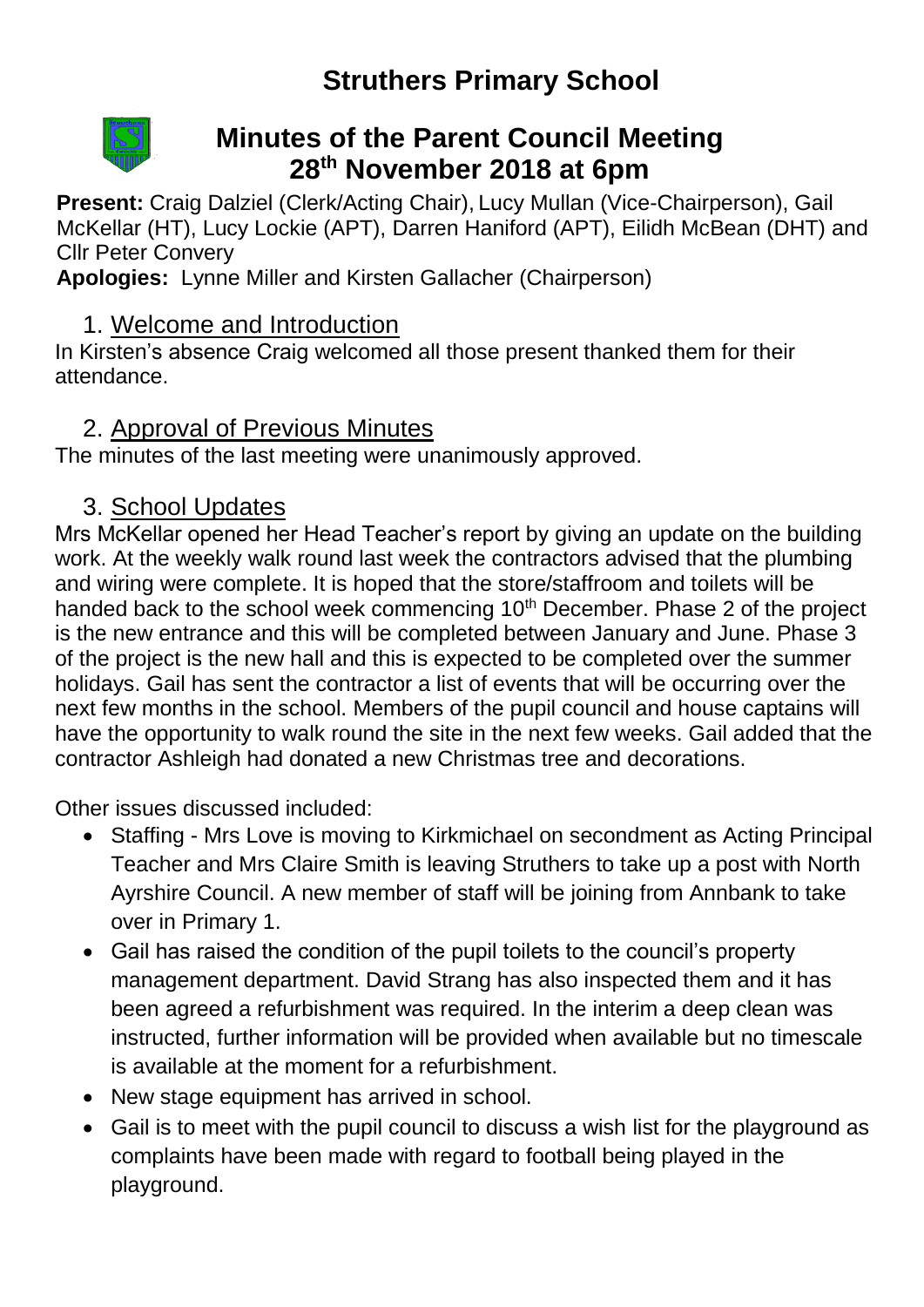# **Struthers Primary School**



## **Minutes of the Parent Council Meeting 28th November 2018 at 6pm**

**Present:** Craig Dalziel (Clerk/Acting Chair), Lucy Mullan (Vice-Chairperson), Gail McKellar (HT), Lucy Lockie (APT), Darren Haniford (APT), Eilidh McBean (DHT) and Cllr Peter Convery

**Apologies:** Lynne Miller and Kirsten Gallacher (Chairperson)

#### 1. Welcome and Introduction

In Kirsten's absence Craig welcomed all those present thanked them for their attendance.

#### 2. Approval of Previous Minutes

The minutes of the last meeting were unanimously approved.

#### 3. School Updates

Mrs McKellar opened her Head Teacher's report by giving an update on the building work. At the weekly walk round last week the contractors advised that the plumbing and wiring were complete. It is hoped that the store/staffroom and toilets will be handed back to the school week commencing 10<sup>th</sup> December. Phase 2 of the project is the new entrance and this will be completed between January and June. Phase 3 of the project is the new hall and this is expected to be completed over the summer holidays. Gail has sent the contractor a list of events that will be occurring over the next few months in the school. Members of the pupil council and house captains will have the opportunity to walk round the site in the next few weeks. Gail added that the contractor Ashleigh had donated a new Christmas tree and decorations.

Other issues discussed included:

- Staffing Mrs Love is moving to Kirkmichael on secondment as Acting Principal Teacher and Mrs Claire Smith is leaving Struthers to take up a post with North Ayrshire Council. A new member of staff will be joining from Annbank to take over in Primary 1.
- Gail has raised the condition of the pupil toilets to the council's property management department. David Strang has also inspected them and it has been agreed a refurbishment was required. In the interim a deep clean was instructed, further information will be provided when available but no timescale is available at the moment for a refurbishment.
- New stage equipment has arrived in school.
- Gail is to meet with the pupil council to discuss a wish list for the playground as complaints have been made with regard to football being played in the playground.